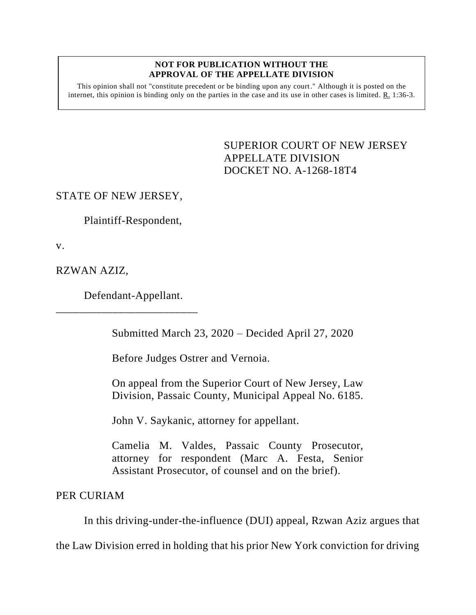## **NOT FOR PUBLICATION WITHOUT THE APPROVAL OF THE APPELLATE DIVISION**

This opinion shall not "constitute precedent or be binding upon any court." Although it is posted on the internet, this opinion is binding only on the parties in the case and its use in other cases is limited. R. 1:36-3.

> <span id="page-0-0"></span>SUPERIOR COURT OF NEW JERSEY APPELLATE DIVISION DOCKET NO. A-1268-18T4

## STATE OF NEW JERSEY,

Plaintiff-Respondent,

v.

RZWAN AZIZ,

Defendant-Appellant.

\_\_\_\_\_\_\_\_\_\_\_\_\_\_\_\_\_\_\_\_\_\_\_\_\_

Submitted March 23, 2020 – Decided April 27, 2020

Before Judges Ostrer and Vernoia.

On appeal from the Superior Court of New Jersey, Law Division, Passaic County, Municipal Appeal No. 6185.

John V. Saykanic, attorney for appellant.

Camelia M. Valdes, Passaic County Prosecutor, attorney for respondent (Marc A. Festa, Senior Assistant Prosecutor, of counsel and on the brief).

PER CURIAM

In this driving-under-the-influence (DUI) appeal, Rzwan Aziz argues that

the Law Division erred in holding that his prior New York conviction for driving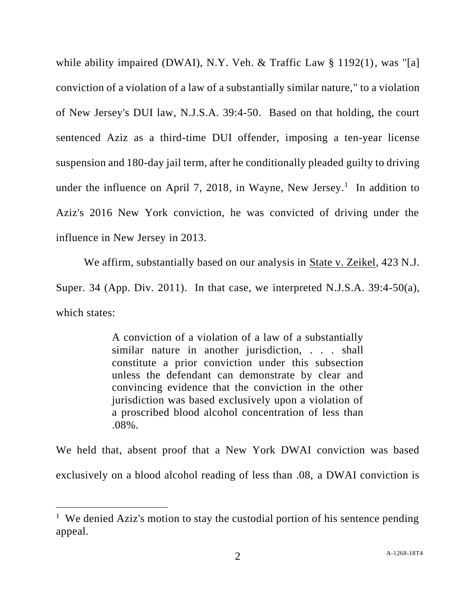while ability impaired (DWAI), N.Y. Veh. & Traffic Law § 1192(1), was "[a] conviction of a violation of a law of a substantially similar nature," to a violation of New Jersey's DUI law, N.J.S.A. 39:4-50. Based on that holding, the court sentenced Aziz as a third-time DUI offender, imposing a ten-year license suspension and 180-day jail term, after he conditionally pleaded guilty to driving under the influence on April 7, 2018, in Wayne, New Jersey.<sup>1</sup> In addition to Aziz's 2016 New York conviction, he was convicted of driving under the influence in New Jersey in 2013.

We affirm, substantially based on our analysis in State v. Zeikel, 423 N.J. Super. 34 (App. Div. 2011). In that case, we interpreted N.J.S.A. 39:4-50(a), which states:

> A conviction of a violation of a law of a substantially similar nature in another jurisdiction, . . . shall constitute a prior conviction under this subsection unless the defendant can demonstrate by clear and convincing evidence that the conviction in the other jurisdiction was based exclusively upon a violation of a proscribed blood alcohol concentration of less than .08%.

We held that, absent proof that a New York DWAI conviction was based exclusively on a blood alcohol reading of less than .08, a DWAI conviction is

<sup>&</sup>lt;sup>1</sup> We denied Aziz's motion to stay the custodial portion of his sentence pending appeal.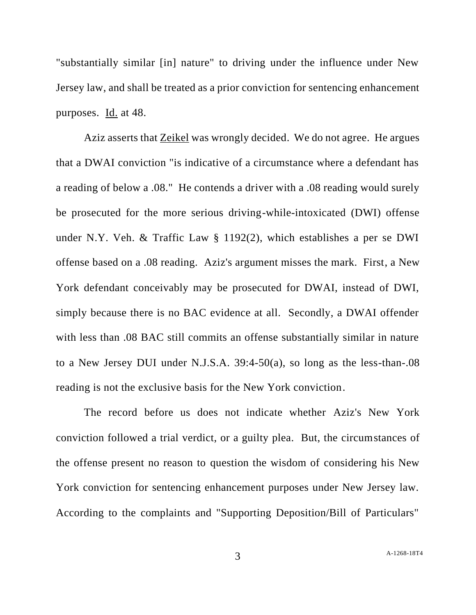"substantially similar [in] nature" to driving under the influence under New Jersey law, and shall be treated as a prior conviction for sentencing enhancement purposes. Id. at 48.

Aziz asserts that Zeikel was wrongly decided. We do not agree. He argues that a DWAI conviction "is indicative of a circumstance where a defendant has a reading of below a .08." He contends a driver with a .08 reading would surely be prosecuted for the more serious driving-while-intoxicated (DWI) offense under N.Y. Veh. & Traffic Law § 1192(2), which establishes a per se DWI offense based on a .08 reading. Aziz's argument misses the mark. First, a New York defendant conceivably may be prosecuted for DWAI, instead of DWI, simply because there is no BAC evidence at all. Secondly, a DWAI offender with less than .08 BAC still commits an offense substantially similar in nature to a New Jersey DUI under N.J.S.A. 39:4-50(a), so long as the less-than-.08 reading is not the exclusive basis for the New York conviction.

The record before us does not indicate whether Aziz's New York conviction followed a trial verdict, or a guilty plea. But, the circumstances of the offense present no reason to question the wisdom of considering his New York conviction for sentencing enhancement purposes under New Jersey law. According to the complaints and "Supporting Deposition/Bill of Particulars"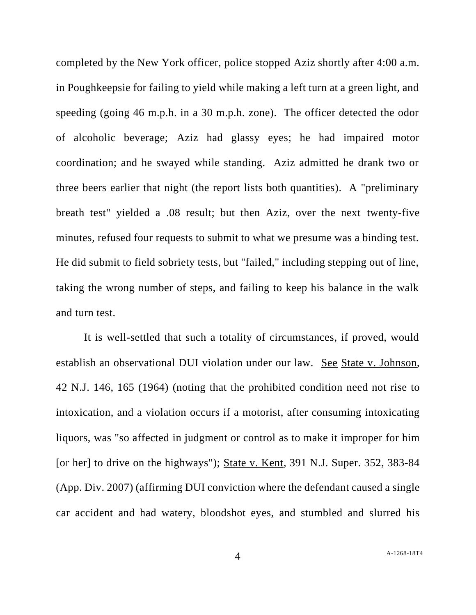completed by the New York officer, police stopped Aziz shortly after 4:00 a.m. in Poughkeepsie for failing to yield while making a left turn at a green light, and speeding (going 46 m.p.h. in a 30 m.p.h. zone). The officer detected the odor of alcoholic beverage; Aziz had glassy eyes; he had impaired motor coordination; and he swayed while standing. Aziz admitted he drank two or three beers earlier that night (the report lists both quantities). A "preliminary breath test" yielded a .08 result; but then Aziz, over the next twenty-five minutes, refused four requests to submit to what we presume was a binding test. He did submit to field sobriety tests, but "failed," including stepping out of line, taking the wrong number of steps, and failing to keep his balance in the walk and turn test.

It is well-settled that such a totality of circumstances, if proved, would establish an observational DUI violation under our law. See State v. Johnson, 42 N.J. 146, 165 (1964) (noting that the prohibited condition need not rise to intoxication, and a violation occurs if a motorist, after consuming intoxicating liquors, was "so affected in judgment or control as to make it improper for him [or her] to drive on the highways"); State v. Kent, 391 N.J. Super. 352, 383-84 (App. Div. 2007) (affirming DUI conviction where the defendant caused a single car accident and had watery, bloodshot eyes, and stumbled and slurred his